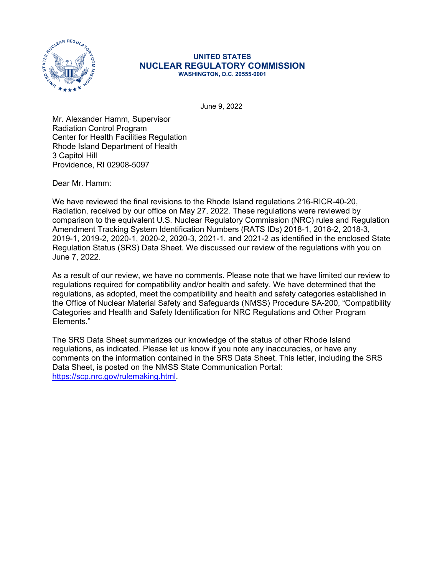

#### **UNITED STATES NUCLEAR REGULATORY COMMISSION WASHINGTON, D.C. 20555-0001**

June 9, 2022

Mr. Alexander Hamm, Supervisor Radiation Control Program Center for Health Facilities Regulation Rhode Island Department of Health 3 Capitol Hill Providence, RI 02908-5097

Dear Mr. Hamm:

We have reviewed the final revisions to the Rhode Island regulations 216-RICR-40-20, Radiation, received by our office on May 27, 2022. These regulations were reviewed by comparison to the equivalent U.S. Nuclear Regulatory Commission (NRC) rules and Regulation Amendment Tracking System Identification Numbers (RATS IDs) 2018-1, 2018-2, 2018-3, 2019-1, 2019-2, 2020-1, 2020-2, 2020-3, 2021-1, and 2021-2 as identified in the enclosed State Regulation Status (SRS) Data Sheet. We discussed our review of the regulations with you on June 7, 2022.

As a result of our review, we have no comments. Please note that we have limited our review to regulations required for compatibility and/or health and safety. We have determined that the regulations, as adopted, meet the compatibility and health and safety categories established in the Office of Nuclear Material Safety and Safeguards (NMSS) Procedure SA-200, "Compatibility Categories and Health and Safety Identification for NRC Regulations and Other Program Elements."

The SRS Data Sheet summarizes our knowledge of the status of other Rhode Island regulations, as indicated. Please let us know if you note any inaccuracies, or have any comments on the information contained in the SRS Data Sheet. This letter, including the SRS Data Sheet, is posted on the NMSS State Communication Portal: [https://scp.nrc.gov/rulemaking.html.](https://scp.nrc.gov/rulemaking.html)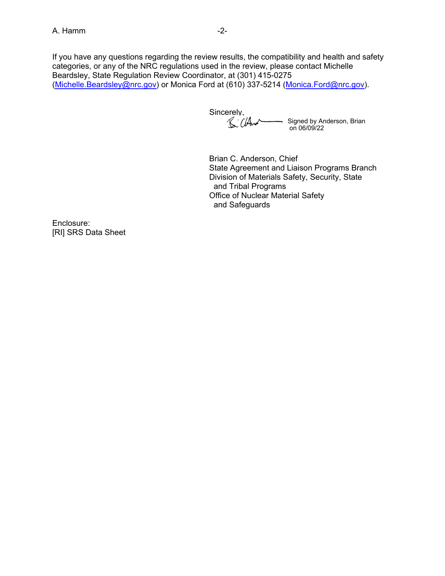If you have any questions regarding the review results, the compatibility and health and safety categories, or any of the NRC regulations used in the review, please contact Michelle Beardsley, State Regulation Review Coordinator, at (301) 415-0275 ([Michelle.Beardsley@nrc.gov](mailto:Michelle.Beardsley@nrc.gov)) or Monica Ford at (610) 337-5214 [\(Monica.Ford@nrc.gov\)](mailto:Monica.Ford@nrc.gov).

Sincerely,<br>
S. Cland Signed by Anderson, Brian on 06/09/22

Brian C. Anderson, Chief State Agreement and Liaison Programs Branch Division of Materials Safety, Security, State and Tribal Programs Office of Nuclear Material Safety and Safeguards

Enclosure: [RI] SRS Data Sheet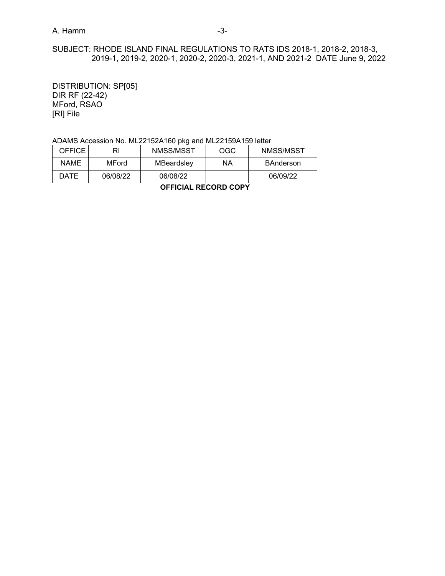# A. Hamm -3-

# SUBJECT: RHODE ISLAND FINAL REGULATIONS TO RATS IDS 2018-1, 2018-2, 2018-3, 2019-1, 2019-2, 2020-1, 2020-2, 2020-3, 2021-1, AND 2021-2 DATE June 9, 2022

DISTRIBUTION: SP[05] DIR RF (22-42) MFord, RSAO [RI] File

## ADAMS Accession No. ML22152A160 pkg and ML22159A159 letter

| -------<br>------ ---- |          |            |     |           |  |  |  |
|------------------------|----------|------------|-----|-----------|--|--|--|
| DATE                   | 06/08/22 | 06/08/22   |     | 06/09/22  |  |  |  |
| NAME                   | MFord    | MBeardsley | ΝA  | BAnderson |  |  |  |
| <b>OFFICE</b>          | RI       | NMSS/MSST  | OGC | NMSS/MSST |  |  |  |

**OFFICIAL RECORD COPY**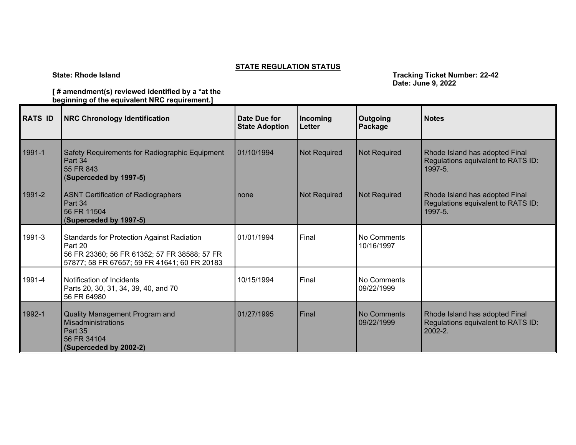# **STATE REGULATION STATUS**

**State: Rhode Island Tracking Ticket Number: 22-42 Tracking Ticket Number: 22-42 Date: June 9, 2022**

### **[ # amendment(s) reviewed identified by a \*at the beginning of the equivalent NRC requirement.]**

| <b>RATS ID</b> | <b>NRC Chronology Identification</b>                                                                                                                         | Date Due for<br><b>State Adoption</b> | Incoming<br>Letter  | Outgoing<br>Package       | <b>Notes</b>                                                                       |
|----------------|--------------------------------------------------------------------------------------------------------------------------------------------------------------|---------------------------------------|---------------------|---------------------------|------------------------------------------------------------------------------------|
| 1991-1         | Safety Requirements for Radiographic Equipment<br>Part 34<br>55 FR 843<br>(Superceded by 1997-5)                                                             | 01/10/1994                            | Not Required        | Not Required              | Rhode Island has adopted Final<br>Regulations equivalent to RATS ID:<br>1997-5.    |
| 1991-2         | <b>ASNT Certification of Radiographers</b><br>Part 34<br>56 FR 11504<br>(Superceded by 1997-5)                                                               | none                                  | <b>Not Required</b> | <b>Not Required</b>       | Rhode Island has adopted Final<br>Regulations equivalent to RATS ID:<br>1997-5.    |
| 1991-3         | <b>Standards for Protection Against Radiation</b><br>Part 20<br>56 FR 23360; 56 FR 61352; 57 FR 38588; 57 FR<br>57877; 58 FR 67657; 59 FR 41641; 60 FR 20183 | 01/01/1994                            | Final               | No Comments<br>10/16/1997 |                                                                                    |
| 1991-4         | Notification of Incidents<br>Parts 20, 30, 31, 34, 39, 40, and 70<br>56 FR 64980                                                                             | 10/15/1994                            | Final               | No Comments<br>09/22/1999 |                                                                                    |
| 1992-1         | Quality Management Program and<br><b>Misadministrations</b><br>Part 35<br>56 FR 34104<br>(Superceded by 2002-2)                                              | 01/27/1995                            | Final               | No Comments<br>09/22/1999 | Rhode Island has adopted Final<br>Regulations equivalent to RATS ID:<br>$2002 - 2$ |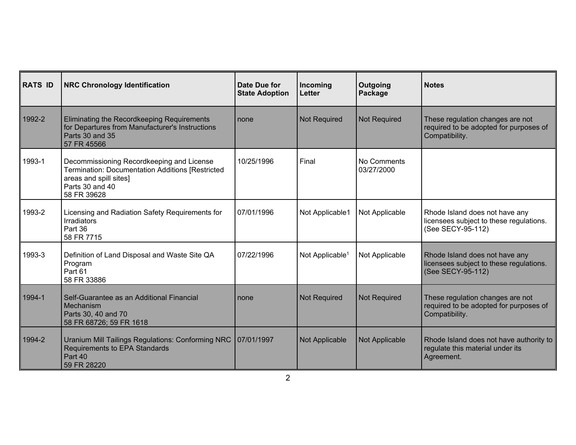| <b>RATS ID</b> | <b>NRC Chronology Identification</b>                                                                                                                      | Date Due for<br><b>State Adoption</b> | Incoming<br><b>Letter</b>   | Outgoing<br>Package       | <b>Notes</b>                                                                                   |
|----------------|-----------------------------------------------------------------------------------------------------------------------------------------------------------|---------------------------------------|-----------------------------|---------------------------|------------------------------------------------------------------------------------------------|
| 1992-2         | Eliminating the Recordkeeping Requirements<br>for Departures from Manufacturer's Instructions<br>Parts 30 and 35<br>57 FR 45566                           | none                                  | <b>Not Required</b>         | <b>Not Required</b>       | These regulation changes are not<br>required to be adopted for purposes of<br>Compatibility.   |
| 1993-1         | Decommissioning Recordkeeping and License<br>Termination: Documentation Additions [Restricted<br>areas and spill sites]<br>Parts 30 and 40<br>58 FR 39628 | 10/25/1996                            | Final                       | No Comments<br>03/27/2000 |                                                                                                |
| 1993-2         | Licensing and Radiation Safety Requirements for<br><b>Irradiators</b><br>Part 36<br>58 FR 7715                                                            | 07/01/1996                            | Not Applicable1             | Not Applicable            | Rhode Island does not have any<br>licensees subject to these regulations.<br>(See SECY-95-112) |
| 1993-3         | Definition of Land Disposal and Waste Site QA<br>Program<br>Part 61<br>58 FR 33886                                                                        | 07/22/1996                            | Not Applicable <sup>1</sup> | Not Applicable            | Rhode Island does not have any<br>licensees subject to these regulations.<br>(See SECY-95-112) |
| 1994-1         | Self-Guarantee as an Additional Financial<br>Mechanism<br>Parts 30, 40 and 70<br>58 FR 68726; 59 FR 1618                                                  | none                                  | <b>Not Required</b>         | <b>Not Required</b>       | These regulation changes are not<br>required to be adopted for purposes of<br>Compatibility.   |
| 1994-2         | Uranium Mill Tailings Regulations: Conforming NRC   07/01/1997<br>Requirements to EPA Standards<br>Part 40<br>59 FR 28220                                 |                                       | Not Applicable              | Not Applicable            | Rhode Island does not have authority to<br>regulate this material under its<br>Agreement.      |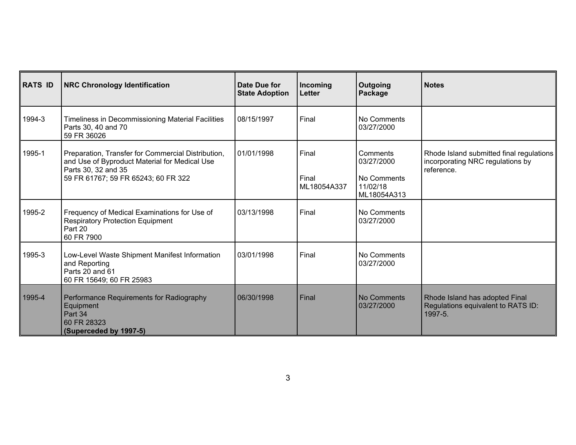| <b>RATS ID</b> | <b>NRC Chronology Identification</b>                                                                                                                              | Date Due for<br><b>State Adoption</b> | Incoming<br>Letter            | Outgoing<br>Package                                              | <b>Notes</b>                                                                               |
|----------------|-------------------------------------------------------------------------------------------------------------------------------------------------------------------|---------------------------------------|-------------------------------|------------------------------------------------------------------|--------------------------------------------------------------------------------------------|
| 1994-3         | Timeliness in Decommissioning Material Facilities<br>Parts 30, 40 and 70<br>59 FR 36026                                                                           | 08/15/1997                            | Final                         | No Comments<br>03/27/2000                                        |                                                                                            |
| 1995-1         | Preparation, Transfer for Commercial Distribution,<br>and Use of Byproduct Material for Medical Use<br>Parts 30, 32 and 35<br>59 FR 61767; 59 FR 65243; 60 FR 322 | 01/01/1998                            | Final<br>Final<br>ML18054A337 | Comments<br>03/27/2000<br>No Comments<br>11/02/18<br>ML18054A313 | Rhode Island submitted final regulations<br>incorporating NRC regulations by<br>reference. |
| 1995-2         | Frequency of Medical Examinations for Use of<br><b>Respiratory Protection Equipment</b><br>Part 20<br>60 FR 7900                                                  | 03/13/1998                            | Final                         | No Comments<br>03/27/2000                                        |                                                                                            |
| 1995-3         | Low-Level Waste Shipment Manifest Information<br>and Reporting<br>Parts 20 and 61<br>60 FR 15649; 60 FR 25983                                                     | 03/01/1998                            | Final                         | No Comments<br>03/27/2000                                        |                                                                                            |
| 1995-4         | Performance Requirements for Radiography<br>Equipment<br>Part 34<br>60 FR 28323<br>(Superceded by 1997-5)                                                         | 06/30/1998                            | Final                         | No Comments<br>03/27/2000                                        | Rhode Island has adopted Final<br>Regulations equivalent to RATS ID:<br>1997-5.            |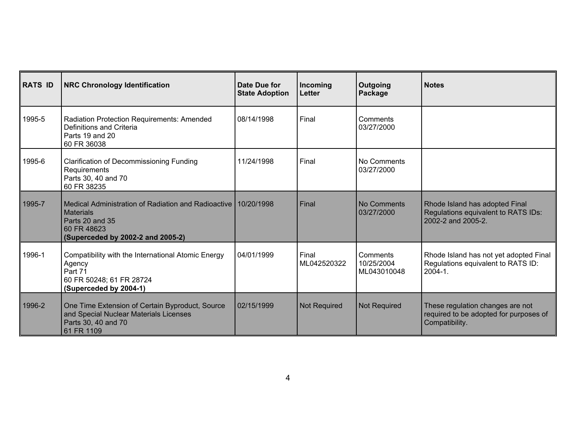| <b>RATS ID</b> | <b>NRC Chronology Identification</b>                                                                                                                        | Date Due for<br><b>State Adoption</b> | Incoming<br>Letter   | Outgoing<br>Package                   | <b>Notes</b>                                                                                 |
|----------------|-------------------------------------------------------------------------------------------------------------------------------------------------------------|---------------------------------------|----------------------|---------------------------------------|----------------------------------------------------------------------------------------------|
| 1995-5         | Radiation Protection Requirements: Amended<br>Definitions and Criteria<br>Parts 19 and 20<br>60 FR 36038                                                    | 08/14/1998                            | Final                | Comments<br>03/27/2000                |                                                                                              |
| 1995-6         | <b>Clarification of Decommissioning Funding</b><br>Requirements<br>Parts 30, 40 and 70<br>60 FR 38235                                                       | 11/24/1998                            | Final                | No Comments<br>03/27/2000             |                                                                                              |
| 1995-7         | Medical Administration of Radiation and Radioactive   10/20/1998<br><b>Materials</b><br>Parts 20 and 35<br>60 FR 48623<br>(Superceded by 2002-2 and 2005-2) |                                       | Final                | No Comments<br>03/27/2000             | Rhode Island has adopted Final<br>Regulations equivalent to RATS IDs:<br>2002-2 and 2005-2.  |
| 1996-1         | Compatibility with the International Atomic Energy<br>Agency<br>Part 71<br>60 FR 50248; 61 FR 28724<br>(Superceded by 2004-1)                               | 04/01/1999                            | Final<br>ML042520322 | Comments<br>10/25/2004<br>ML043010048 | Rhode Island has not yet adopted Final<br>Regulations equivalent to RATS ID:<br>$2004 - 1$ . |
| 1996-2         | One Time Extension of Certain Byproduct, Source<br>and Special Nuclear Materials Licenses<br>Parts 30, 40 and 70<br>61 FR 1109                              | 02/15/1999                            | <b>Not Required</b>  | <b>Not Required</b>                   | These regulation changes are not<br>required to be adopted for purposes of<br>Compatibility. |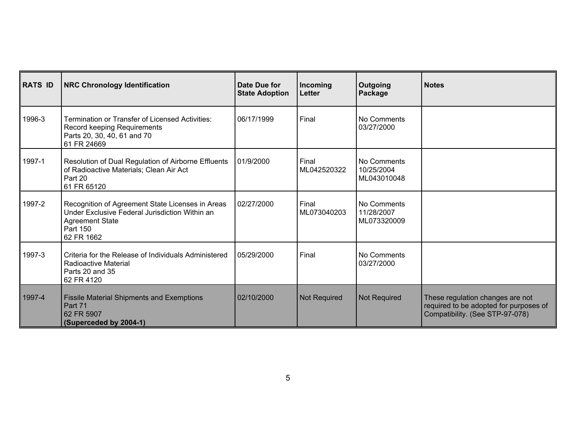| <b>RATS ID</b> | <b>NRC Chronology Identification</b>                                                                                                                   | Date Due for<br><b>State Adoption</b> | Incoming<br>Letter   | Outgoing<br>Package                      | <b>Notes</b>                                                                                                  |
|----------------|--------------------------------------------------------------------------------------------------------------------------------------------------------|---------------------------------------|----------------------|------------------------------------------|---------------------------------------------------------------------------------------------------------------|
| 1996-3         | <b>Termination or Transfer of Licensed Activities:</b><br>Record keeping Requirements<br>Parts 20, 30, 40, 61 and 70<br>61 FR 24669                    | 06/17/1999                            | Final                | No Comments<br>03/27/2000                |                                                                                                               |
| 1997-1         | Resolution of Dual Regulation of Airborne Effluents<br>of Radioactive Materials; Clean Air Act<br>Part 20<br>61 FR 65120                               | 01/9/2000                             | Final<br>ML042520322 | No Comments<br>10/25/2004<br>ML043010048 |                                                                                                               |
| 1997-2         | Recognition of Agreement State Licenses in Areas<br>Under Exclusive Federal Jurisdiction Within an<br><b>Agreement State</b><br>Part 150<br>62 FR 1662 | 02/27/2000                            | Final<br>ML073040203 | No Comments<br>11/28/2007<br>ML073320009 |                                                                                                               |
| 1997-3         | Criteria for the Release of Individuals Administered<br>Radioactive Material<br>Parts 20 and 35<br>62 FR 4120                                          | 05/29/2000                            | Final                | No Comments<br>03/27/2000                |                                                                                                               |
| 1997-4         | <b>Fissile Material Shipments and Exemptions</b><br>Part 71<br>62 FR 5907<br>(Superceded by 2004-1)                                                    | 02/10/2000                            | Not Required         | Not Required                             | These regulation changes are not<br>required to be adopted for purposes of<br>Compatibility. (See STP-97-078) |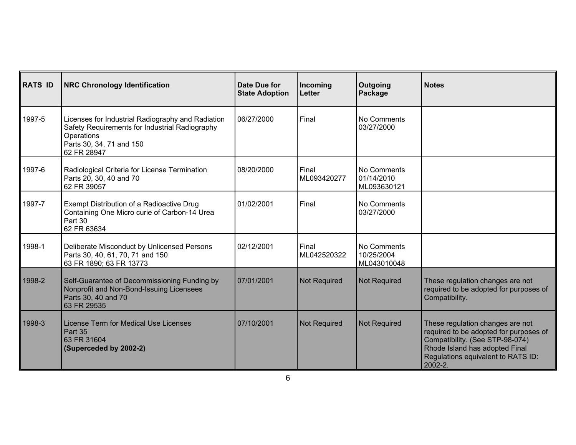| <b>RATS ID</b> | <b>NRC Chronology Identification</b>                                                                                                                         | Date Due for<br><b>State Adoption</b> | Incoming<br>Letter   | Outgoing<br>Package                      | <b>Notes</b>                                                                                                                                                                                     |
|----------------|--------------------------------------------------------------------------------------------------------------------------------------------------------------|---------------------------------------|----------------------|------------------------------------------|--------------------------------------------------------------------------------------------------------------------------------------------------------------------------------------------------|
| 1997-5         | Licenses for Industrial Radiography and Radiation<br>Safety Requirements for Industrial Radiography<br>Operations<br>Parts 30, 34, 71 and 150<br>62 FR 28947 | 06/27/2000                            | Final                | No Comments<br>03/27/2000                |                                                                                                                                                                                                  |
| 1997-6         | Radiological Criteria for License Termination<br>Parts 20, 30, 40 and 70<br>62 FR 39057                                                                      | 08/20/2000                            | Final<br>ML093420277 | No Comments<br>01/14/2010<br>ML093630121 |                                                                                                                                                                                                  |
| 1997-7         | Exempt Distribution of a Radioactive Drug<br>Containing One Micro curie of Carbon-14 Urea<br>Part 30<br>62 FR 63634                                          | 01/02/2001                            | Final                | No Comments<br>03/27/2000                |                                                                                                                                                                                                  |
| 1998-1         | Deliberate Misconduct by Unlicensed Persons<br>Parts 30, 40, 61, 70, 71 and 150<br>63 FR 1890; 63 FR 13773                                                   | 02/12/2001                            | Final<br>ML042520322 | No Comments<br>10/25/2004<br>ML043010048 |                                                                                                                                                                                                  |
| 1998-2         | Self-Guarantee of Decommissioning Funding by<br>Nonprofit and Non-Bond-Issuing Licensees<br>Parts 30, 40 and 70<br>63 FR 29535                               | 07/01/2001                            | <b>Not Required</b>  | <b>Not Required</b>                      | These regulation changes are not<br>required to be adopted for purposes of<br>Compatibility.                                                                                                     |
| 1998-3         | License Term for Medical Use Licenses<br>Part 35<br>63 FR 31604<br>(Superceded by 2002-2)                                                                    | 07/10/2001                            | <b>Not Required</b>  | <b>Not Required</b>                      | These regulation changes are not<br>required to be adopted for purposes of<br>Compatibility. (See STP-98-074)<br>Rhode Island has adopted Final<br>Regulations equivalent to RATS ID:<br>2002-2. |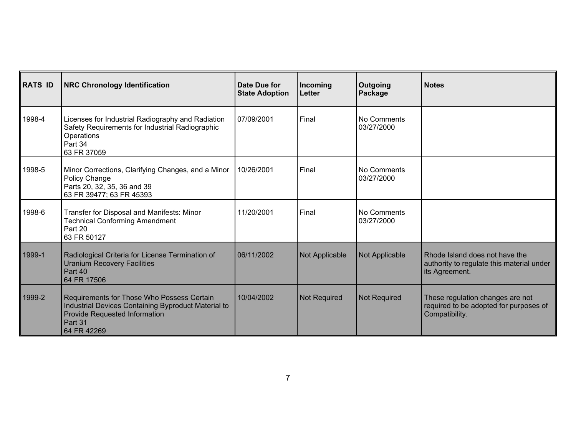| <b>RATS ID</b> | <b>NRC Chronology Identification</b>                                                                                                                         | Date Due for<br><b>State Adoption</b> | Incoming<br>Letter  | Outgoing<br>Package       | <b>Notes</b>                                                                                  |
|----------------|--------------------------------------------------------------------------------------------------------------------------------------------------------------|---------------------------------------|---------------------|---------------------------|-----------------------------------------------------------------------------------------------|
| 1998-4         | Licenses for Industrial Radiography and Radiation<br>Safety Requirements for Industrial Radiographic<br>Operations<br>Part 34<br>63 FR 37059                 | 07/09/2001                            | Final               | No Comments<br>03/27/2000 |                                                                                               |
| 1998-5         | Minor Corrections, Clarifying Changes, and a Minor<br>Policy Change<br>Parts 20, 32, 35, 36 and 39<br>63 FR 39477; 63 FR 45393                               | 10/26/2001                            | Final               | No Comments<br>03/27/2000 |                                                                                               |
| 1998-6         | Transfer for Disposal and Manifests: Minor<br><b>Technical Conforming Amendment</b><br>Part 20<br>63 FR 50127                                                | 11/20/2001                            | Final               | No Comments<br>03/27/2000 |                                                                                               |
| 1999-1         | Radiological Criteria for License Termination of<br><b>Uranium Recovery Facilities</b><br>Part 40<br>64 FR 17506                                             | 06/11/2002                            | Not Applicable      | Not Applicable            | Rhode Island does not have the<br>authority to regulate this material under<br>its Agreement. |
| 1999-2         | Requirements for Those Who Possess Certain<br>Industrial Devices Containing Byproduct Material to<br>Provide Requested Information<br>Part 31<br>64 FR 42269 | 10/04/2002                            | <b>Not Required</b> | Not Required              | These regulation changes are not<br>required to be adopted for purposes of<br>Compatibility.  |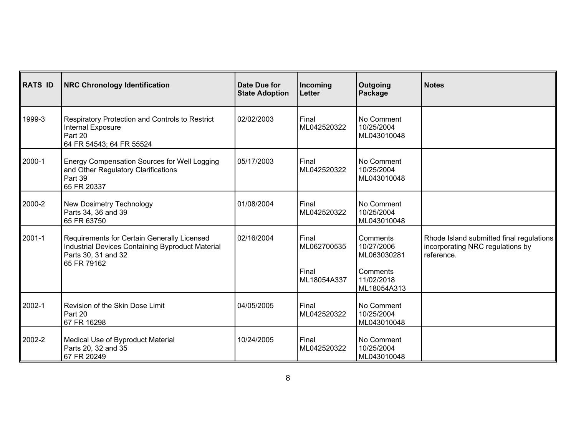| <b>RATS ID</b> | <b>NRC Chronology Identification</b>                                                                                                  | Date Due for<br><b>State Adoption</b> | Incoming<br>Letter   | Outgoing<br>Package                     | <b>Notes</b>                                                                               |
|----------------|---------------------------------------------------------------------------------------------------------------------------------------|---------------------------------------|----------------------|-----------------------------------------|--------------------------------------------------------------------------------------------|
| 1999-3         | Respiratory Protection and Controls to Restrict<br>Internal Exposure<br>Part 20<br>64 FR 54543; 64 FR 55524                           | 02/02/2003                            | Final<br>ML042520322 | No Comment<br>10/25/2004<br>ML043010048 |                                                                                            |
| 2000-1         | Energy Compensation Sources for Well Logging<br>and Other Regulatory Clarifications<br>Part 39<br>65 FR 20337                         | 05/17/2003                            | Final<br>ML042520322 | No Comment<br>10/25/2004<br>ML043010048 |                                                                                            |
| 2000-2         | New Dosimetry Technology<br>Parts 34, 36 and 39<br>65 FR 63750                                                                        | 01/08/2004                            | Final<br>ML042520322 | No Comment<br>10/25/2004<br>ML043010048 |                                                                                            |
| 2001-1         | Requirements for Certain Generally Licensed<br>Industrial Devices Containing Byproduct Material<br>Parts 30, 31 and 32<br>65 FR 79162 | 02/16/2004                            | Final<br>ML062700535 | Comments<br>10/27/2006<br>ML063030281   | Rhode Island submitted final regulations<br>incorporating NRC regulations by<br>reference. |
|                |                                                                                                                                       |                                       | Final<br>ML18054A337 | Comments<br>11/02/2018<br>ML18054A313   |                                                                                            |
| 2002-1         | Revision of the Skin Dose Limit<br>Part 20<br>67 FR 16298                                                                             | 04/05/2005                            | Final<br>ML042520322 | No Comment<br>10/25/2004<br>ML043010048 |                                                                                            |
| 2002-2         | Medical Use of Byproduct Material<br>Parts 20, 32 and 35<br>67 FR 20249                                                               | 10/24/2005                            | Final<br>ML042520322 | No Comment<br>10/25/2004<br>ML043010048 |                                                                                            |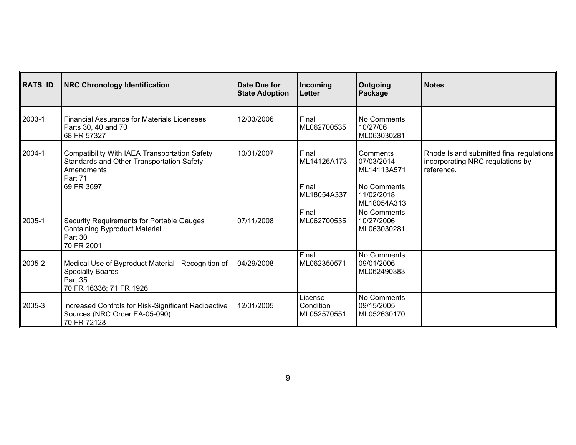| <b>RATS ID</b> | <b>NRC Chronology Identification</b>                                                                                              | <b>Date Due for</b><br><b>State Adoption</b> | Incoming<br>Letter                           | Outgoing<br>Package                                                               | <b>Notes</b>                                                                               |
|----------------|-----------------------------------------------------------------------------------------------------------------------------------|----------------------------------------------|----------------------------------------------|-----------------------------------------------------------------------------------|--------------------------------------------------------------------------------------------|
| 2003-1         | <b>Financial Assurance for Materials Licensees</b><br>Parts 30, 40 and 70<br>68 FR 57327                                          | 12/03/2006                                   | Final<br>ML062700535                         | No Comments<br>10/27/06<br>ML063030281                                            |                                                                                            |
| 2004-1         | Compatibility With IAEA Transportation Safety<br>Standards and Other Transportation Safety<br>Amendments<br>Part 71<br>69 FR 3697 | 10/01/2007                                   | Final<br>ML14126A173<br>Final<br>ML18054A337 | Comments<br>07/03/2014<br>ML14113A571<br>No Comments<br>11/02/2018<br>ML18054A313 | Rhode Island submitted final regulations<br>incorporating NRC regulations by<br>reference. |
| 2005-1         | Security Requirements for Portable Gauges<br><b>Containing Byproduct Material</b><br>Part 30<br>70 FR 2001                        | 07/11/2008                                   | Final<br>ML062700535                         | No Comments<br>10/27/2006<br>ML063030281                                          |                                                                                            |
| 2005-2         | Medical Use of Byproduct Material - Recognition of<br><b>Specialty Boards</b><br>Part 35<br>70 FR 16336; 71 FR 1926               | 04/29/2008                                   | Final<br>ML062350571                         | No Comments<br>09/01/2006<br>ML062490383                                          |                                                                                            |
| 2005-3         | Increased Controls for Risk-Significant Radioactive<br>Sources (NRC Order EA-05-090)<br>70 FR 72128                               | 12/01/2005                                   | License<br>Condition<br>ML052570551          | No Comments<br>09/15/2005<br>ML052630170                                          |                                                                                            |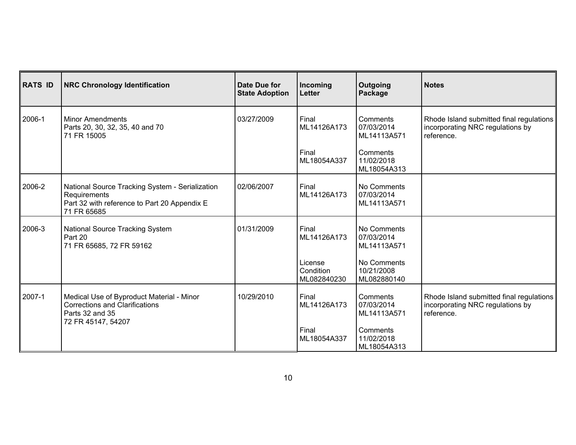| <b>RATS ID</b> | <b>NRC Chronology Identification</b>                                                                                           | Date Due for<br><b>State Adoption</b> | Incoming<br>Letter                  | Outgoing<br>Package                      | <b>Notes</b>                                                                               |
|----------------|--------------------------------------------------------------------------------------------------------------------------------|---------------------------------------|-------------------------------------|------------------------------------------|--------------------------------------------------------------------------------------------|
| 2006-1         | <b>Minor Amendments</b><br>Parts 20, 30, 32, 35, 40 and 70<br>71 FR 15005                                                      | 03/27/2009                            | Final<br>ML14126A173                | Comments<br>07/03/2014<br>ML14113A571    | Rhode Island submitted final regulations<br>incorporating NRC regulations by<br>reference. |
|                |                                                                                                                                |                                       | Final<br>ML18054A337                | Comments<br>11/02/2018<br>ML18054A313    |                                                                                            |
| 2006-2         | National Source Tracking System - Serialization<br>Requirements<br>Part 32 with reference to Part 20 Appendix E<br>71 FR 65685 | 02/06/2007                            | Final<br>ML14126A173                | No Comments<br>07/03/2014<br>ML14113A571 |                                                                                            |
| 2006-3         | National Source Tracking System<br>Part 20<br>71 FR 65685, 72 FR 59162                                                         | 01/31/2009                            | Final<br>ML14126A173                | No Comments<br>07/03/2014<br>ML14113A571 |                                                                                            |
|                |                                                                                                                                |                                       | License<br>Condition<br>ML082840230 | No Comments<br>10/21/2008<br>ML082880140 |                                                                                            |
| 2007-1         | Medical Use of Byproduct Material - Minor<br><b>Corrections and Clarifications</b><br>Parts 32 and 35<br>72 FR 45147, 54207    | 10/29/2010                            | Final<br>ML14126A173                | Comments<br>07/03/2014<br>ML14113A571    | Rhode Island submitted final regulations<br>incorporating NRC regulations by<br>reference. |
|                |                                                                                                                                |                                       | Final<br>ML18054A337                | Comments<br>11/02/2018<br>ML18054A313    |                                                                                            |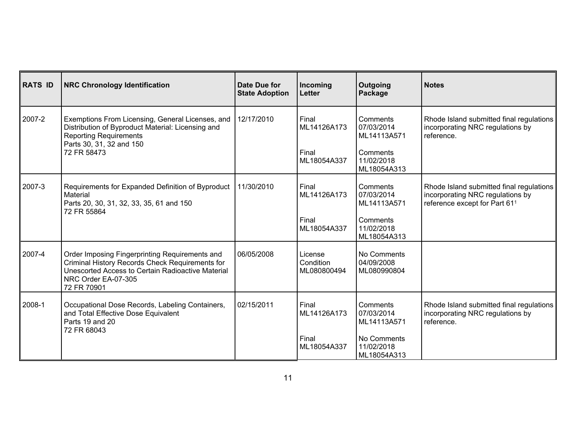| <b>RATS ID</b> | <b>NRC Chronology Identification</b>                                                                                                                                                         | Date Due for<br><b>State Adoption</b> | Incoming<br>Letter                           | Outgoing<br>Package                                                               | <b>Notes</b>                                                                                                              |
|----------------|----------------------------------------------------------------------------------------------------------------------------------------------------------------------------------------------|---------------------------------------|----------------------------------------------|-----------------------------------------------------------------------------------|---------------------------------------------------------------------------------------------------------------------------|
| 2007-2         | Exemptions From Licensing, General Licenses, and<br>Distribution of Byproduct Material: Licensing and<br><b>Reporting Requirements</b><br>Parts 30, 31, 32 and 150<br>72 FR 58473            | 12/17/2010                            | Final<br>ML14126A173<br>Final<br>ML18054A337 | Comments<br>07/03/2014<br>ML14113A571<br>Comments<br>11/02/2018<br>ML18054A313    | Rhode Island submitted final regulations<br>incorporating NRC regulations by<br>reference.                                |
| 2007-3         | Requirements for Expanded Definition of Byproduct<br>Material<br>Parts 20, 30, 31, 32, 33, 35, 61 and 150<br>72 FR 55864                                                                     | 11/30/2010                            | Final<br>ML14126A173<br>Final<br>ML18054A337 | Comments<br>07/03/2014<br>ML14113A571<br>Comments<br>11/02/2018<br>ML18054A313    | Rhode Island submitted final regulations<br>incorporating NRC regulations by<br>reference except for Part 61 <sup>1</sup> |
| 2007-4         | Order Imposing Fingerprinting Requirements and<br>Criminal History Records Check Requirements for<br>Unescorted Access to Certain Radioactive Material<br>NRC Order EA-07-305<br>72 FR 70901 | 06/05/2008                            | License<br>Condition<br>ML080800494          | No Comments<br>04/09/2008<br>ML080990804                                          |                                                                                                                           |
| 2008-1         | Occupational Dose Records, Labeling Containers,<br>and Total Effective Dose Equivalent<br>Parts 19 and 20<br>72 FR 68043                                                                     | 02/15/2011                            | Final<br>ML14126A173<br>Final<br>ML18054A337 | Comments<br>07/03/2014<br>ML14113A571<br>No Comments<br>11/02/2018<br>ML18054A313 | Rhode Island submitted final regulations<br>incorporating NRC regulations by<br>reference.                                |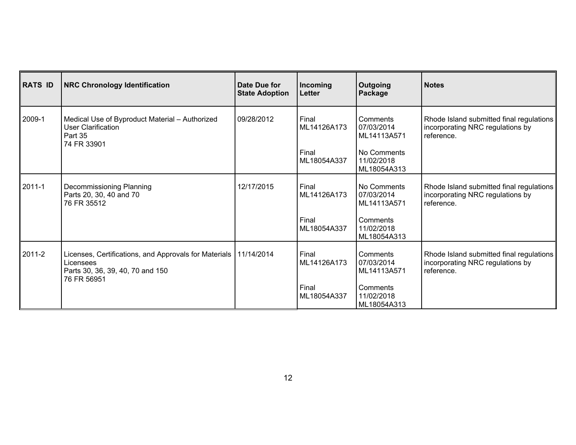| <b>RATS ID</b> | <b>NRC Chronology Identification</b>                                                                                               | Date Due for<br><b>State Adoption</b> | Incoming<br>Letter                           | <b>Outgoing</b><br>Package                                                        | <b>Notes</b>                                                                               |
|----------------|------------------------------------------------------------------------------------------------------------------------------------|---------------------------------------|----------------------------------------------|-----------------------------------------------------------------------------------|--------------------------------------------------------------------------------------------|
| 2009-1         | Medical Use of Byproduct Material - Authorized<br>User Clarification<br>Part 35<br>74 FR 33901                                     | 09/28/2012                            | Final<br>ML14126A173<br>Final<br>ML18054A337 | Comments<br>07/03/2014<br>ML14113A571<br>No Comments<br>11/02/2018<br>ML18054A313 | Rhode Island submitted final regulations<br>incorporating NRC regulations by<br>reference. |
| 2011-1         | Decommissioning Planning<br>Parts 20, 30, 40 and 70<br>76 FR 35512                                                                 | 12/17/2015                            | Final<br>ML14126A173<br>Final<br>ML18054A337 | No Comments<br>07/03/2014<br>ML14113A571<br>Comments<br>11/02/2018<br>ML18054A313 | Rhode Island submitted final regulations<br>incorporating NRC regulations by<br>reference. |
| 2011-2         | Licenses, Certifications, and Approvals for Materials   11/14/2014<br>Licensees<br>Parts 30, 36, 39, 40, 70 and 150<br>76 FR 56951 |                                       | Final<br>ML14126A173<br>Final<br>ML18054A337 | Comments<br>07/03/2014<br>ML14113A571<br>Comments<br>11/02/2018<br>ML18054A313    | Rhode Island submitted final regulations<br>incorporating NRC regulations by<br>reference. |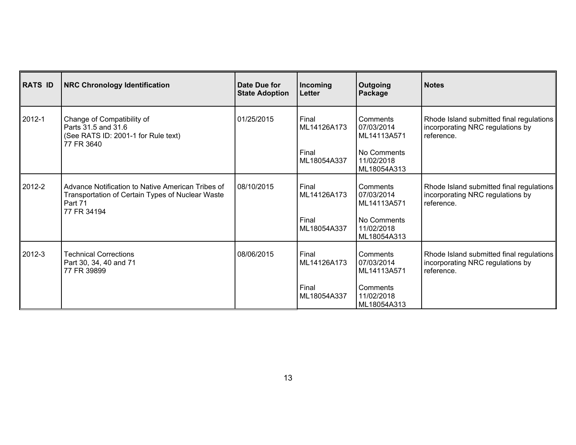| <b>RATS ID</b> | <b>NRC Chronology Identification</b>                                                                                            | Date Due for<br><b>State Adoption</b> | Incoming<br><b>Letter</b>                    | <b>Outgoing</b><br>Package                                                          | Notes                                                                                      |
|----------------|---------------------------------------------------------------------------------------------------------------------------------|---------------------------------------|----------------------------------------------|-------------------------------------------------------------------------------------|--------------------------------------------------------------------------------------------|
| 2012-1         | Change of Compatibility of<br>Parts 31.5 and 31.6<br>(See RATS ID: 2001-1 for Rule text)<br>77 FR 3640                          | 01/25/2015                            | Final<br>ML14126A173<br>Final<br>ML18054A337 | Comments<br>07/03/2014<br>ML14113A571<br>No Comments<br>11/02/2018<br>ML18054A313   | Rhode Island submitted final regulations<br>incorporating NRC regulations by<br>reference. |
| 2012-2         | Advance Notification to Native American Tribes of<br>Transportation of Certain Types of Nuclear Waste<br>Part 71<br>77 FR 34194 | 08/10/2015                            | Final<br>ML14126A173<br>Final<br>ML18054A337 | Comments<br>07/03/2014<br>ML14113A571<br>l No Comments<br>11/02/2018<br>ML18054A313 | Rhode Island submitted final regulations<br>incorporating NRC regulations by<br>reference. |
| 2012-3         | <b>Technical Corrections</b><br>Part 30, 34, 40 and 71<br>77 FR 39899                                                           | 08/06/2015                            | Final<br>ML14126A173<br>Final<br>ML18054A337 | Comments<br>07/03/2014<br>ML14113A571<br>Comments<br>11/02/2018<br>ML18054A313      | Rhode Island submitted final regulations<br>incorporating NRC regulations by<br>reference. |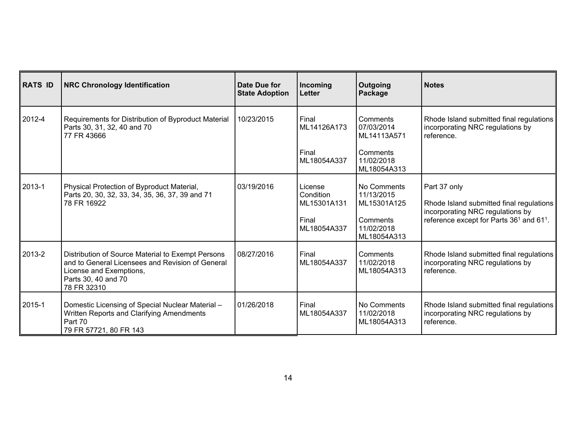| <b>RATS ID</b> | <b>NRC Chronology Identification</b>                                                                                                                                   | Date Due for<br><b>State Adoption</b> | Incoming<br>Letter                                          | Outgoing<br>Package                                                               | <b>Notes</b>                                                                                                                                                     |
|----------------|------------------------------------------------------------------------------------------------------------------------------------------------------------------------|---------------------------------------|-------------------------------------------------------------|-----------------------------------------------------------------------------------|------------------------------------------------------------------------------------------------------------------------------------------------------------------|
| 2012-4         | Requirements for Distribution of Byproduct Material<br>Parts 30, 31, 32, 40 and 70<br>77 FR 43666                                                                      | 10/23/2015                            | Final<br>ML14126A173                                        | Comments<br>07/03/2014<br>ML14113A571                                             | Rhode Island submitted final regulations<br>incorporating NRC regulations by<br>reference.                                                                       |
|                |                                                                                                                                                                        |                                       | Final<br>ML18054A337                                        | Comments<br>11/02/2018<br>ML18054A313                                             |                                                                                                                                                                  |
| 2013-1         | Physical Protection of Byproduct Material,<br>Parts 20, 30, 32, 33, 34, 35, 36, 37, 39 and 71<br>78 FR 16922                                                           | 03/19/2016                            | License<br>Condition<br>ML15301A131<br>Final<br>ML18054A337 | No Comments<br>11/13/2015<br>ML15301A125<br>Comments<br>11/02/2018<br>ML18054A313 | Part 37 only<br>Rhode Island submitted final regulations<br>incorporating NRC regulations by<br>reference except for Parts 36 <sup>1</sup> and 61 <sup>1</sup> . |
| 2013-2         | Distribution of Source Material to Exempt Persons<br>and to General Licensees and Revision of General<br>License and Exemptions,<br>Parts 30, 40 and 70<br>78 FR 32310 | 08/27/2016                            | Final<br>ML18054A337                                        | Comments<br>11/02/2018<br>ML18054A313                                             | Rhode Island submitted final regulations<br>incorporating NRC regulations by<br>reference.                                                                       |
| 2015-1         | Domestic Licensing of Special Nuclear Material -<br>Written Reports and Clarifying Amendments<br>Part 70<br>79 FR 57721, 80 FR 143                                     | 01/26/2018                            | Final<br>ML18054A337                                        | No Comments<br>11/02/2018<br>ML18054A313                                          | Rhode Island submitted final regulations<br>incorporating NRC regulations by<br>reference.                                                                       |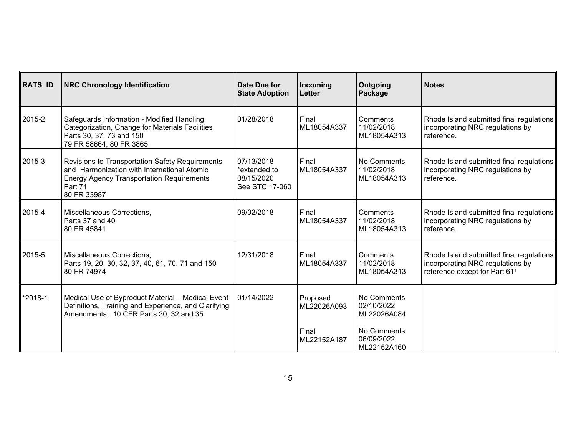| <b>RATS ID</b> | <b>NRC Chronology Identification</b>                                                                                                                                         | Date Due for<br><b>State Adoption</b>                      | Incoming<br>Letter      | Outgoing<br>Package                      | <b>Notes</b>                                                                                                              |
|----------------|------------------------------------------------------------------------------------------------------------------------------------------------------------------------------|------------------------------------------------------------|-------------------------|------------------------------------------|---------------------------------------------------------------------------------------------------------------------------|
| 2015-2         | Safeguards Information - Modified Handling<br>Categorization, Change for Materials Facilities<br>Parts 30, 37, 73 and 150<br>79 FR 58664, 80 FR 3865                         | 01/28/2018                                                 | Final<br>ML18054A337    | Comments<br>11/02/2018<br>ML18054A313    | Rhode Island submitted final regulations<br>incorporating NRC regulations by<br>reference.                                |
| 2015-3         | Revisions to Transportation Safety Requirements<br>and Harmonization with International Atomic<br><b>Energy Agency Transportation Requirements</b><br>Part 71<br>80 FR 33987 | 07/13/2018<br>*extended to<br>08/15/2020<br>See STC 17-060 | Final<br>ML18054A337    | No Comments<br>11/02/2018<br>ML18054A313 | Rhode Island submitted final regulations<br>incorporating NRC regulations by<br>reference.                                |
| 2015-4         | Miscellaneous Corrections,<br>Parts 37 and 40<br>80 FR 45841                                                                                                                 | 09/02/2018                                                 | Final<br>ML18054A337    | Comments<br>11/02/2018<br>ML18054A313    | Rhode Island submitted final regulations<br>incorporating NRC regulations by<br>reference.                                |
| 2015-5         | Miscellaneous Corrections,<br>Parts 19, 20, 30, 32, 37, 40, 61, 70, 71 and 150<br>80 FR 74974                                                                                | 12/31/2018                                                 | Final<br>ML18054A337    | Comments<br>11/02/2018<br>ML18054A313    | Rhode Island submitted final regulations<br>incorporating NRC regulations by<br>reference except for Part 61 <sup>1</sup> |
| *2018-1        | Medical Use of Byproduct Material - Medical Event<br>Definitions, Training and Experience, and Clarifying<br>Amendments, 10 CFR Parts 30, 32 and 35                          | 01/14/2022                                                 | Proposed<br>ML22026A093 | No Comments<br>02/10/2022<br>ML22026A084 |                                                                                                                           |
|                |                                                                                                                                                                              |                                                            | Final<br>ML22152A187    | No Comments<br>06/09/2022<br>ML22152A160 |                                                                                                                           |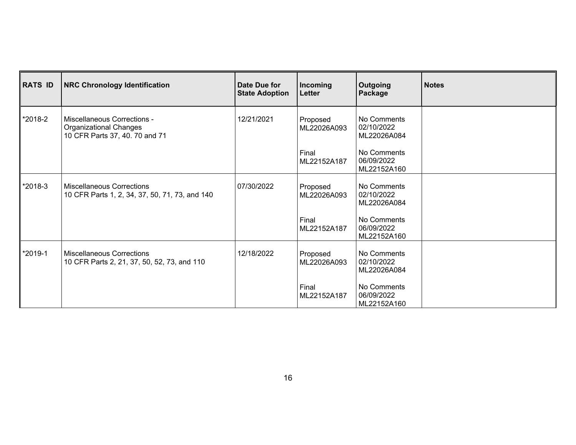| <b>RATS ID</b> | <b>NRC Chronology Identification</b>                                                             | Date Due for<br><b>State Adoption</b> | Incoming<br>Letter      | <b>Outgoing</b><br>Package               | <b>Notes</b> |
|----------------|--------------------------------------------------------------------------------------------------|---------------------------------------|-------------------------|------------------------------------------|--------------|
| *2018-2        | Miscellaneous Corrections -<br><b>Organizational Changes</b><br>10 CFR Parts 37, 40. 70 and 71   | 12/21/2021                            | Proposed<br>ML22026A093 | No Comments<br>02/10/2022<br>ML22026A084 |              |
|                |                                                                                                  |                                       | Final<br>ML22152A187    | No Comments<br>06/09/2022<br>ML22152A160 |              |
| *2018-3        | <b>Miscellaneous Corrections</b><br>07/30/2022<br>10 CFR Parts 1, 2, 34, 37, 50, 71, 73, and 140 |                                       | Proposed<br>ML22026A093 | No Comments<br>02/10/2022<br>ML22026A084 |              |
|                |                                                                                                  |                                       | Final<br>ML22152A187    | No Comments<br>06/09/2022<br>ML22152A160 |              |
| *2019-1        | <b>Miscellaneous Corrections</b><br>10 CFR Parts 2, 21, 37, 50, 52, 73, and 110                  | 12/18/2022                            | Proposed<br>ML22026A093 | No Comments<br>02/10/2022<br>ML22026A084 |              |
|                |                                                                                                  |                                       | Final<br>ML22152A187    | No Comments<br>06/09/2022<br>ML22152A160 |              |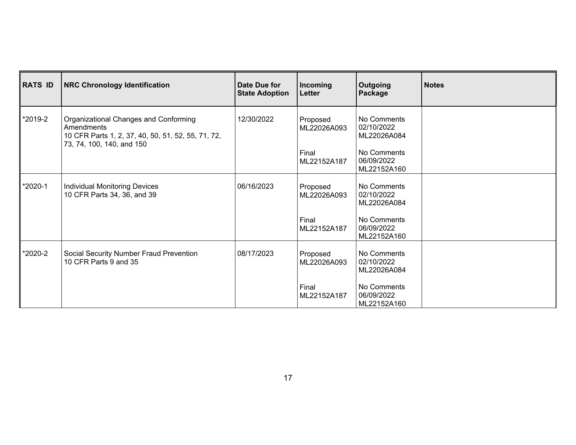| <b>RATS ID</b> | <b>NRC Chronology Identification</b>                                                                                                   | Date Due for<br><b>State Adoption</b> | Incoming<br>Letter                              | <b>Outgoing</b><br>Package                                            | <b>Notes</b> |
|----------------|----------------------------------------------------------------------------------------------------------------------------------------|---------------------------------------|-------------------------------------------------|-----------------------------------------------------------------------|--------------|
| *2019-2        | Organizational Changes and Conforming<br>Amendments<br>10 CFR Parts 1, 2, 37, 40, 50, 51, 52, 55, 71, 72,<br>73, 74, 100, 140, and 150 | 12/30/2022                            | Proposed<br>ML22026A093<br>Final<br>ML22152A187 | No Comments<br>02/10/2022<br>ML22026A084<br>No Comments<br>06/09/2022 |              |
| *2020-1        | Individual Monitoring Devices                                                                                                          | 06/16/2023                            | Proposed                                        | ML22152A160<br>No Comments                                            |              |
|                | 10 CFR Parts 34, 36, and 39                                                                                                            |                                       | ML22026A093                                     | 02/10/2022<br>ML22026A084                                             |              |
|                |                                                                                                                                        |                                       | Final<br>ML22152A187                            | No Comments<br>06/09/2022<br>ML22152A160                              |              |
| *2020-2        | Social Security Number Fraud Prevention<br>10 CFR Parts 9 and 35                                                                       | 08/17/2023                            | Proposed<br>ML22026A093                         | No Comments<br>02/10/2022<br>ML22026A084                              |              |
|                |                                                                                                                                        |                                       | Final<br>ML22152A187                            | No Comments<br>06/09/2022<br>ML22152A160                              |              |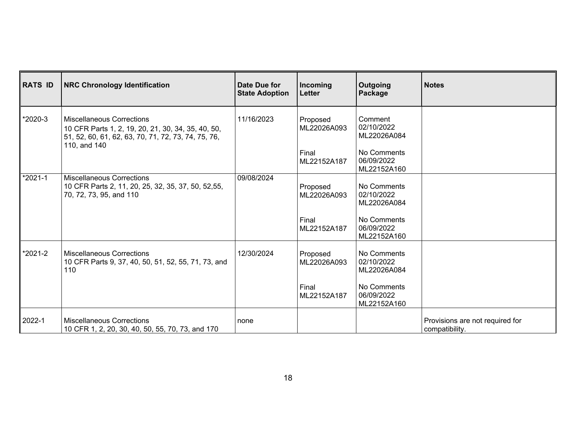| RATS ID   | <b>NRC Chronology Identification</b>                                                                                                                          | Date Due for<br><b>State Adoption</b> | Incoming<br>Letter               | <b>Outgoing</b><br>Package                          | <b>Notes</b>                                      |
|-----------|---------------------------------------------------------------------------------------------------------------------------------------------------------------|---------------------------------------|----------------------------------|-----------------------------------------------------|---------------------------------------------------|
| *2020-3   | <b>Miscellaneous Corrections</b><br>10 CFR Parts 1, 2, 19, 20, 21, 30, 34, 35, 40, 50,<br>51, 52, 60, 61, 62, 63, 70, 71, 72, 73, 74, 75, 76,<br>110, and 140 | 11/16/2023                            | Proposed<br>ML22026A093<br>Final | Comment<br>02/10/2022<br>ML22026A084<br>No Comments |                                                   |
|           |                                                                                                                                                               |                                       | ML22152A187                      | 06/09/2022<br>ML22152A160                           |                                                   |
| $*2021-1$ | <b>Miscellaneous Corrections</b><br>10 CFR Parts 2, 11, 20, 25, 32, 35, 37, 50, 52,55,<br>70, 72, 73, 95, and 110                                             | 09/08/2024                            | Proposed<br>ML22026A093          | No Comments<br>02/10/2022<br>ML22026A084            |                                                   |
|           |                                                                                                                                                               |                                       | Final<br>ML22152A187             | No Comments<br>06/09/2022<br>ML22152A160            |                                                   |
| *2021-2   | <b>Miscellaneous Corrections</b><br>10 CFR Parts 9, 37, 40, 50, 51, 52, 55, 71, 73, and<br>110                                                                | 12/30/2024                            | Proposed<br>ML22026A093          | No Comments<br>02/10/2022<br>ML22026A084            |                                                   |
|           |                                                                                                                                                               |                                       | Final<br>ML22152A187             | No Comments<br>06/09/2022<br>ML22152A160            |                                                   |
| ∥2022-1   | <b>Miscellaneous Corrections</b><br>10 CFR 1, 2, 20, 30, 40, 50, 55, 70, 73, and 170                                                                          | none                                  |                                  |                                                     | Provisions are not required for<br>compatibility. |